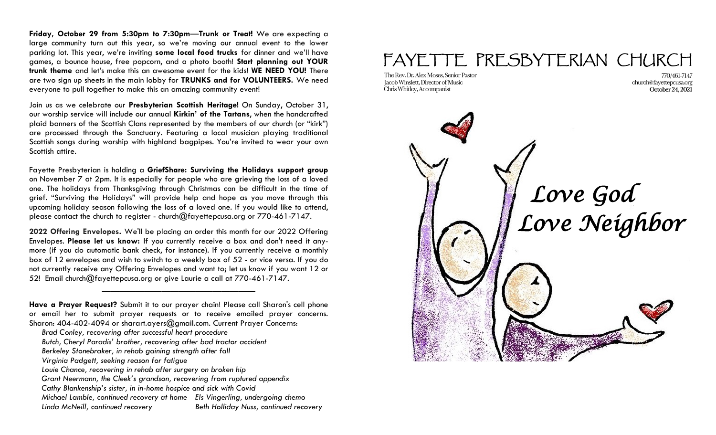**Friday, October 29 from 5:30pm to 7:30pm**—**Trunk or Treat!** We are expecting a large community turn out this year, so we're moving our annual event to the lower parking lot. This year, we're inviting **some local food trucks** for dinner and we'll have games, a bounce house, free popcorn, and a photo booth! **Start planning out YOUR trunk theme** and let's make this an awesome event for the kids! **WE NEED YOU!** There are two sign up sheets in the main lobby for **TRUNKS and for VOLUNTEERS.** We need everyone to pull together to make this an amazing community event!

Join us as we celebrate our **Presbyterian Scottish Heritage!** On Sunday, October 31, our worship service will include our annual **Kirkin' of the Tartans**, when the handcrafted plaid banners of the Scottish Clans represented by the members of our church (or "kirk") are processed through the Sanctuary. Featuring a local musician playing traditional Scottish songs during worship with highland bagpipes. You're invited to wear your own Scottish attire.

Fayette Presbyterian is holding a **GriefShare: Surviving the Holidays support group**  on November 7 at 2pm. It is especially for people who are grieving the loss of a loved one. The holidays from Thanksgiving through Christmas can be difficult in the time of grief. "Surviving the Holidays" will provide help and hope as you move through this upcoming holiday season following the loss of a loved one. If you would like to attend, please contact the church to register - church $@$ fayettepcusa.org or 770-461-7147.

**2022 Offering Envelopes.** We'll be placing an order this month for our 2022 Offering Envelopes. **Please let us know:** If you currently receive a box and don't need it anymore (if you do automatic bank check, for instance). If you currently receive a monthly box of 12 envelopes and wish to switch to a weekly box of 52 - or vice versa. If you do not currently receive any Offering Envelopes and want to; let us know if you want 12 or 52! Email church@fayettepcusa.org or give Laurie a call at 770-461-7147.

**Have a Prayer Request?** Submit it to our prayer chain! Please call Sharon's cell phone or email her to submit prayer requests or to receive emailed prayer concerns. Sharon: 404-402-4094 or sharart.ayers@gmail.com. Current Prayer Concerns:

——————————————————

- *Brad Conley, recovering after successful heart procedure*
- *Butch, Cheryl Paradis' brother, recovering after bad tractor accident*
- *Berkeley Stonebraker, in rehab gaining strength after fall*
- *Virginia Padgett, seeking reason for fatigue*
- *Louie Chance, recovering in rehab after surgery on broken hip*
- *Grant Neermann, the Cleek's grandson, recovering from ruptured appendix*
- *Cathy Blankenship's sister, in in-home hospice and sick with Covid*
- *Michael Lamble, continued recovery at home Els Vingerling, undergoing chemo*

*Linda McNeill, continued recovery Beth Holliday Nuss, continued recovery* 

## FAYETTE PRESBYTERIAN CHURCH

The Rev. Dr. Alex Moses. Senior Pastor Jacob Winslett, Director of Music Chris Whitley, Accompanist

770/461-7147 church@fayettepcusa.org October 24, 2021